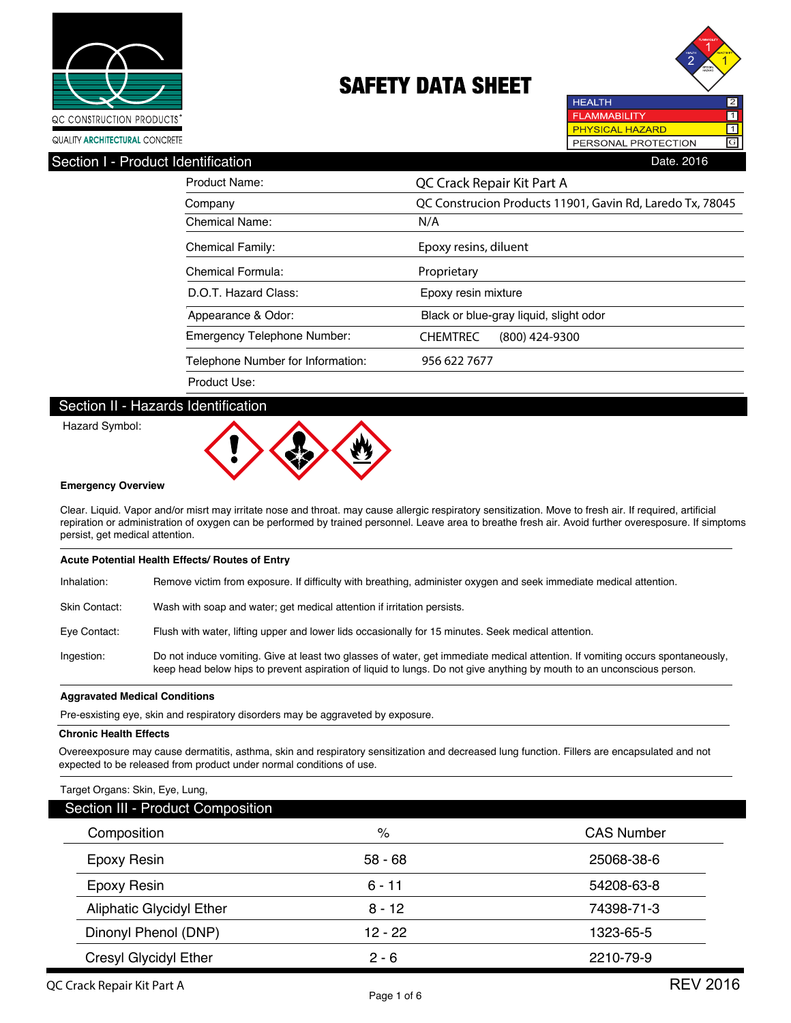



Section I - Product Id

| ieritilication                     | Dale, 2010                                                |
|------------------------------------|-----------------------------------------------------------|
| Product Name:                      | QC Crack Repair Kit Part A                                |
| Company                            | QC Construcion Products 11901, Gavin Rd, Laredo Tx, 78045 |
| Chemical Name:                     | N/A                                                       |
| <b>Chemical Family:</b>            | Epoxy resins, diluent                                     |
| Chemical Formula:                  | Proprietary                                               |
| D.O.T. Hazard Class:               | Epoxy resin mixture                                       |
| Appearance & Odor:                 | Black or blue-gray liquid, slight odor                    |
| <b>Emergency Telephone Number:</b> | $(800)$ 424-9300<br><b>CHEMTREC</b>                       |
| Telephone Number for Information:  | 956 622 7677                                              |
| Product Use:                       |                                                           |

### Section II - Hazards Identification

Hazard Symbol:



### **Emergency Overview**

Clear. Liquid. Vapor and/or misrt may irritate nose and throat. may cause allergic respiratory sensitization. Move to fresh air. If required, artificial repiration or administration of oxygen can be performed by trained personnel. Leave area to breathe fresh air. Avoid further overesposure. If simptoms persist, get medical attention.

### **Acute Potential Health Effects/ Routes of Entry**

Inhalation: Remove victim from exposure. If difficulty with breathing, administer oxygen and seek immediate medical attention.

Skin Contact: Wash with soap and water; get medical attention if irritation persists.

Eye Contact: Flush with water, lifting upper and lower lids occasionally for 15 minutes. Seek medical attention.

Ingestion: Do not induce vomiting. Give at least two glasses of water, get immediate medical attention. If vomiting occurs spontaneously, keep head below hips to prevent aspiration of liquid to lungs. Do not give anything by mouth to an unconscious person.

#### **Aggravated Medical Conditions**

Pre-esxisting eye, skin and respiratory disorders may be aggraveted by exposure.

#### **Chronic Health Effects**

Overeexposure may cause dermatitis, asthma, skin and respiratory sensitization and decreased lung function. Fillers are encapsulated and not expected to be released from product under normal conditions of use.

#### Target Organs: Skin, Eye, Lung,

| Section III - Product Composition |           |                   |
|-----------------------------------|-----------|-------------------|
| Composition                       | %         | <b>CAS Number</b> |
| Epoxy Resin                       | $58 - 68$ | 25068-38-6        |
| Epoxy Resin                       | $6 - 11$  | 54208-63-8        |
| <b>Aliphatic Glycidyl Ether</b>   | $8 - 12$  | 74398-71-3        |
| Dinonyl Phenol (DNP)              | $12 - 22$ | 1323-65-5         |
| <b>Cresyl Glycidyl Ether</b>      | $2 - 6$   | 2210-79-9         |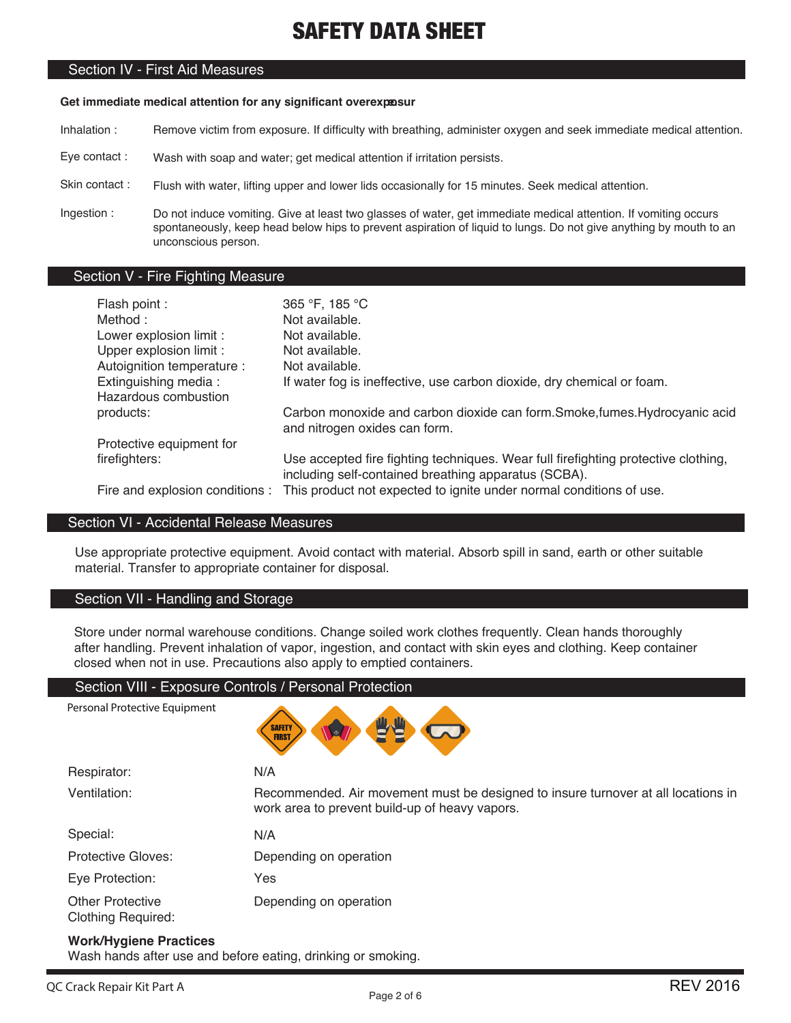## Section IV - First Aid Measures

### Get immediate medical attention for any significant overexpesur

- Inhalation : Remove victim from exposure. If difficulty with breathing, administer oxygen and seek immediate medical attention.
- Wash with soap and water; get medical attention if irritation persists. Eye contact :
- Flush with water, lifting upper and lower lids occasionally for 15 minutes. Seek medical attention. Skin contact :
- Do not induce vomiting. Give at least two glasses of water, get immediate medical attention. If vomiting occurs spontaneously, keep head below hips to prevent aspiration of liquid to lungs. Do not give anything by mouth to an unconscious person. Ingestion :

### Section V - Fire Fighting Measure

| Flash point :                   | 365 °F, 185 °C                                                                                                                             |
|---------------------------------|--------------------------------------------------------------------------------------------------------------------------------------------|
| Method :                        | Not available.                                                                                                                             |
| Lower explosion limit :         | Not available.                                                                                                                             |
| Upper explosion limit :         | Not available.                                                                                                                             |
| Autoignition temperature :      | Not available.                                                                                                                             |
| Extinguishing media:            | If water fog is ineffective, use carbon dioxide, dry chemical or foam.                                                                     |
| Hazardous combustion            |                                                                                                                                            |
| products:                       | Carbon monoxide and carbon dioxide can form. Smoke, fumes. Hydrocyanic acid<br>and nitrogen oxides can form.                               |
| Protective equipment for        |                                                                                                                                            |
| firefighters:                   | Use accepted fire fighting techniques. Wear full firefighting protective clothing,<br>including self-contained breathing apparatus (SCBA). |
| Fire and explosion conditions : | This product not expected to ignite under normal conditions of use.                                                                        |

### Section VI - Accidental Release Measures

Use appropriate protective equipment. Avoid contact with material. Absorb spill in sand, earth or other suitable material. Transfer to appropriate container for disposal.

### Section VII - Handling and Storage

Store under normal warehouse conditions. Change soiled work clothes frequently. Clean hands thoroughly after handling. Prevent inhalation of vapor, ingestion, and contact with skin eyes and clothing. Keep container closed when not in use. Precautions also apply to emptied containers.

### Section VIII - Exposure Controls / Personal Protection

| Personal Protective Equipment                        | <b>SAFETY</b><br>$\mathbf{e}$<br>Ξ<br><b>FIRST</b>                                                                                  |
|------------------------------------------------------|-------------------------------------------------------------------------------------------------------------------------------------|
| Respirator:                                          | N/A                                                                                                                                 |
| Ventilation:                                         | Recommended. Air movement must be designed to insure turnover at all locations in<br>work area to prevent build-up of heavy vapors. |
| Special:                                             | N/A                                                                                                                                 |
| <b>Protective Gloves:</b>                            | Depending on operation                                                                                                              |
| Eye Protection:                                      | Yes                                                                                                                                 |
| <b>Other Protective</b><br><b>Clothing Required:</b> | Depending on operation                                                                                                              |
| Maulell beatance Dunnitenn                           |                                                                                                                                     |

#### **Work/Hygiene Practices** Wash hands after use and before eating, drinking or smoking.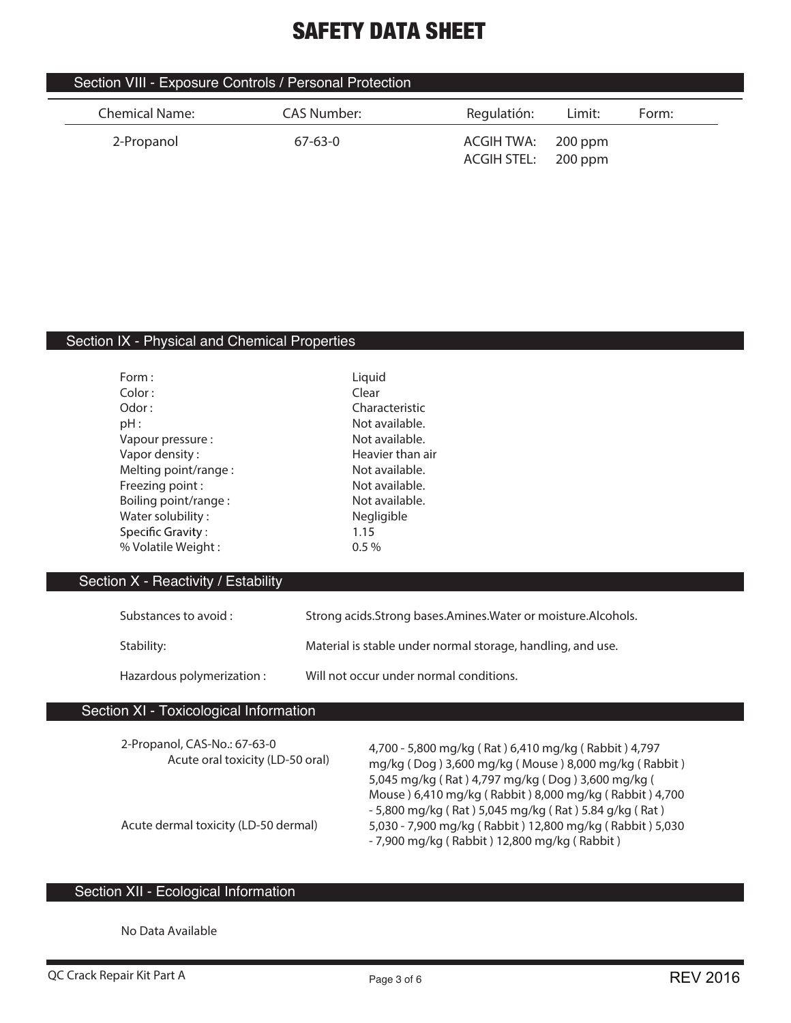|                       | Section VIII - Exposure Controls / Personal Protection |                                  |                    |       |  |
|-----------------------|--------------------------------------------------------|----------------------------------|--------------------|-------|--|
| <b>Chemical Name:</b> | CAS Number:                                            | Regulatión:                      | Limit:             | Form: |  |
| 2-Propanol            | $67-63-0$                                              | ACGIH TWA:<br><b>ACGIH STEL:</b> | 200 ppm<br>200 ppm |       |  |

# Section IX - Physical and Chemical Properties

| Form:                | Liquid           |
|----------------------|------------------|
| Color:               | Clear            |
| Odor:                | Characteristic   |
| pH:                  | Not available.   |
| Vapour pressure :    | Not available.   |
| Vapor density:       | Heavier than air |
| Melting point/range: | Not available.   |
| Freezing point:      | Not available.   |
| Boiling point/range: | Not available.   |
| Water solubility:    | Negligible       |
| Specific Gravity:    | 1.15             |
| % Volatile Weight:   | 0.5%             |
|                      |                  |

# Section X - Reactivity / Estability

| Substances to avoid :     | Strong acids. Strong bases. Amines. Water or moisture. Alcohols. |
|---------------------------|------------------------------------------------------------------|
| Stability:                | Material is stable under normal storage, handling, and use.      |
| Hazardous polymerization: | Will not occur under normal conditions.                          |

# Section XI - Toxicological Information

| 2-Propanol, CAS-No.: 67-63-0<br>Acute oral toxicity (LD-50 oral) | 4,700 - 5,800 mg/kg (Rat) 6,410 mg/kg (Rabbit) 4,797<br>mg/kg (Dog) 3,600 mg/kg (Mouse) 8,000 mg/kg (Rabbit)<br>5,045 mg/kg (Rat) 4,797 mg/kg (Dog) 3,600 mg/kg (<br>Mouse ) 6,410 mg/kg (Rabbit) 8,000 mg/kg (Rabbit) 4,700 |
|------------------------------------------------------------------|------------------------------------------------------------------------------------------------------------------------------------------------------------------------------------------------------------------------------|
| Acute dermal toxicity (LD-50 dermal)                             | - 5,800 mg/kg (Rat) 5,045 mg/kg (Rat) 5.84 g/kg (Rat)<br>5,030 - 7,900 mg/kg (Rabbit) 12,800 mg/kg (Rabbit) 5,030<br>- 7,900 mg/kg (Rabbit) 12,800 mg/kg (Rabbit)                                                            |

# Section XII - Ecological Information

**No Data Available**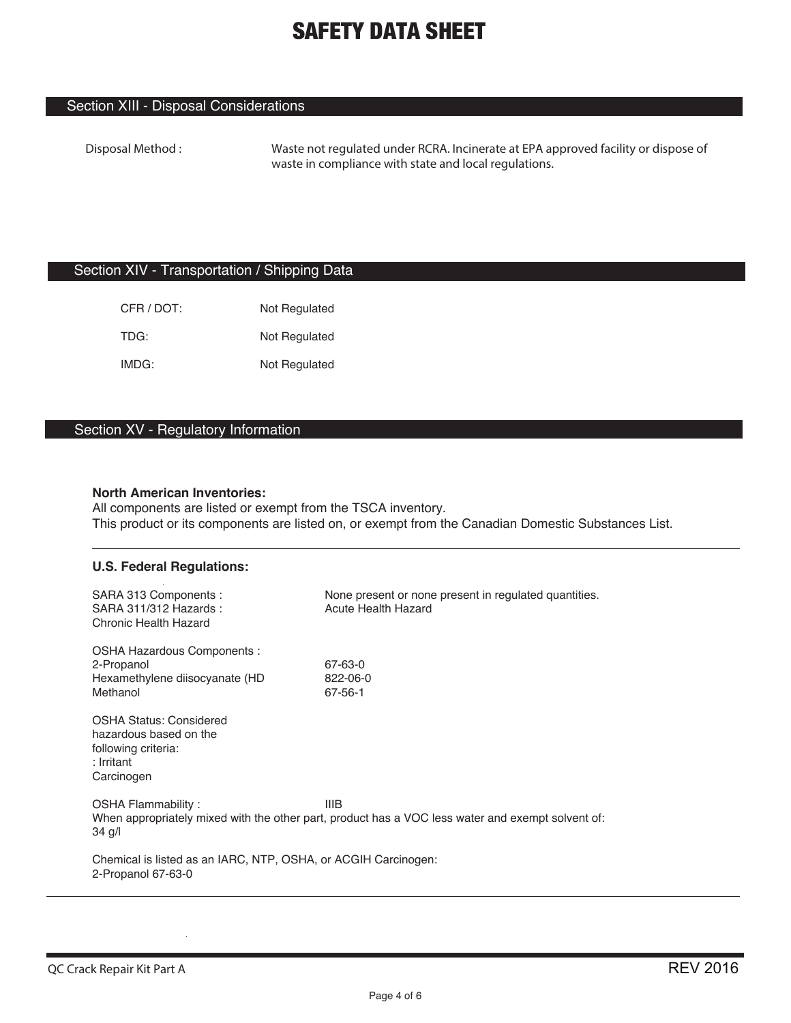## Section XIII - Disposal Considerations

**Disposal Method : Waste not regulated under RCRA. Incinerate at EPA approved facility or dispose of waste in compliance with state and local regulations.**

## Section XIV - Transportation / Shipping Data

| CFR / DOT: | Not Regulated |
|------------|---------------|
| TDG:       | Not Regulated |
| IMDG:      | Not Regulated |

## Section XV - Regulatory Information

### **North American Inventories:**

All components are listed or exempt from the TSCA inventory. This product or its components are listed on, or exempt from the Canadian Domestic Substances List.

### **U.S. Federal Regulations:**

| SARA 313 Components :<br>SARA 311/312 Hazards:<br><b>Chronic Health Hazard</b>                              | None present or none present in regulated quantities.<br>Acute Health Hazard                                     |
|-------------------------------------------------------------------------------------------------------------|------------------------------------------------------------------------------------------------------------------|
| OSHA Hazardous Components :<br>2-Propanol<br>Hexamethylene diisocyanate (HD<br>Methanol                     | 67-63-0<br>822-06-0<br>67-56-1                                                                                   |
| <b>OSHA Status: Considered</b><br>hazardous based on the<br>following criteria:<br>: Irritant<br>Carcinogen |                                                                                                                  |
| OSHA Flammability:<br>$34$ g/l                                                                              | <b>IIIB</b><br>When appropriately mixed with the other part, product has a VOC less water and exempt solvent of: |
| Chemical is listed as an IARC, NTP, OSHA, or ACGIH Carcinogen:<br>2-Propanol 67-63-0                        |                                                                                                                  |

QC Crack Repair Kit Part A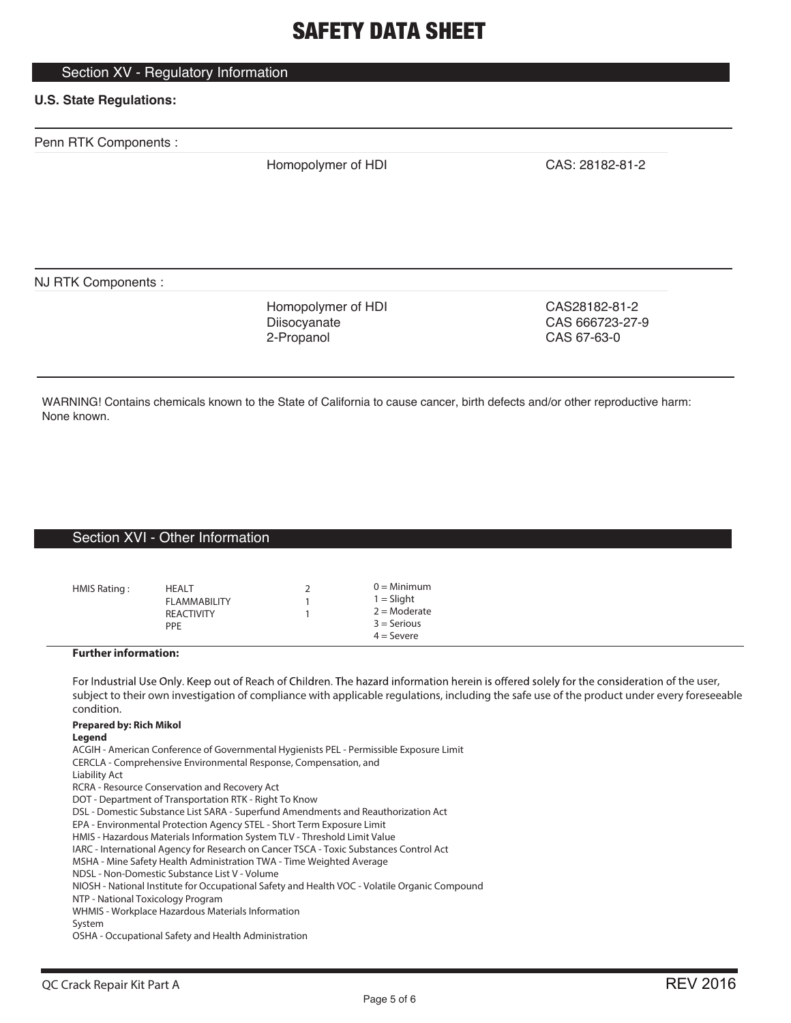### Section XV - Regulatory Information

## **U.S. State Regulations:**

Penn RTK Components :

Homopolymer of HDI CAS: 28182-81-2

NJ RTK Components :

Homopolymer of HDI CAS28182-81-2 Diisocyanate CAS 666723-27-9 2-Propanol CAS 67-63-0

WARNING! Contains chemicals known to the State of California to cause cancer, birth defects and/or other reproductive harm: None known.

## Section XVI - Other Information

| HMIS Rating: | <b>HEALT</b>        | 7 | $0 =$ Minimum  |
|--------------|---------------------|---|----------------|
|              | <b>FLAMMABILITY</b> |   | $1 =$ Slight   |
|              | <b>REACTIVITY</b>   |   | $2 =$ Moderate |
|              | <b>PPF</b>          |   | $3 =$ Serious  |
|              |                     |   | $4 =$ Severe   |

### **Further information:**

For Industrial Use Only. Keep out of Reach of Children. The hazard information herein is offered solely for the consideration of the user, subject to their own investigation of compliance with applicable regulations, including the safe use of the product under every foreseeable condition.

#### **Prepared by: Rich Mikol**

### **Legend**

ACGIH - American Conference of Governmental Hygienists PEL - Permissible Exposure Limit

CERCLA - Comprehensive Environmental Response, Compensation, and

Liability Act

RCRA - Resource Conservation and Recovery Act DOT - Department of Transportation RTK - Right To Know

DSL - Domestic Substance List SARA - Superfund Amendments and Reauthorization Act

EPA - Environmental Protection Agency STEL - Short Term Exposure Limit

HMIS - Hazardous Materials Information System TLV - Threshold Limit Value

IARC - International Agency for Research on Cancer TSCA - Toxic Substances Control Act

MSHA - Mine Safety Health Administration TWA - Time Weighted Average

NDSL - Non-Domestic Substance List V - Volume

NIOSH - National Institute for Occupational Safety and Health VOC - Volatile Organic Compound

NTP - National Toxicology Program

WHMIS - Workplace Hazardous Materials Information

System

OSHA - Occupational Safety and Health Administration